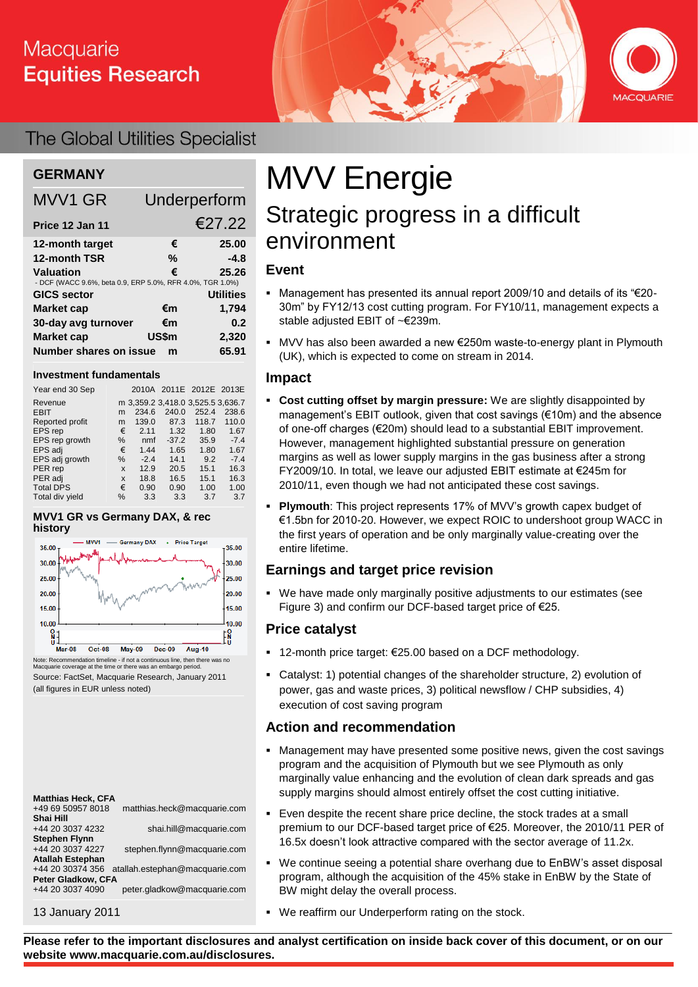# Macquarie **Equities Research**



# The Global Utilities Specialist

## **GERMANY**

| MVV1 GR                                                   |              | Underperform     |
|-----------------------------------------------------------|--------------|------------------|
| Price 12 Jan 11                                           |              | €27.22           |
| 12-month target                                           | €            | 25.00            |
| 12-month TSR                                              | %            | $-4.8$           |
| <b>Valuation</b>                                          | €            | 25.26            |
| - DCF (WACC 9.6%, beta 0.9, ERP 5.0%, RFR 4.0%, TGR 1.0%) |              |                  |
| <b>GICS sector</b>                                        |              | <b>Utilities</b> |
| <b>Market cap</b>                                         | €m           | 1,794            |
| 30-day avg turnover                                       | €m           | 0.2              |
| <b>Market cap</b>                                         | <b>US\$m</b> | 2,320            |
| <b>Number shares on issue</b>                             |              | 65.91            |

### **Investment fundamentals**

| 234.6  | 240.0   | 252.4 | 238.6                                                                |
|--------|---------|-------|----------------------------------------------------------------------|
| 139.0  | 87.3    | 118.7 | 110.0                                                                |
| 2.11   |         | 1.80  | 1.67                                                                 |
| nmf    | $-37.2$ | 35.9  | $-7.4$                                                               |
| 1.44   | 1.65    | 1.80  | 1.67                                                                 |
| $-2.4$ | 14.1    | 9.2   | $-7.4$                                                               |
| 12.9   | 20.5    | 15.1  | 16.3                                                                 |
| 18.8   | 16.5    | 15.1  | 16.3                                                                 |
| 0.90   | 0.90    | 1.00  | 1.00                                                                 |
| 3.3    | 3.3     | 3.7   | 3.7                                                                  |
|        |         |       | 2010A 2011E 2012E 2013E<br>m 3,359.2 3,418.0 3,525.5 3,636.7<br>1.32 |

### **MVV1 GR vs Germany DAX, & rec history**



Note: Recommendation timeline - if not a continuous line, then there was no Macquarie coverage at the time or there was an embargo period. Source: FactSet, Macquarie Research, January 2011 (all figures in EUR unless noted)

#### **Matthias Heck, CFA** +49 69 50957 8018 matthias.heck@macquarie.com **Shai Hill** +44 20 3037 4232 shai.hill@macquarie.com **Stephen Flynn**<br>+44 20 3037 4227 stephen.flynn@macquarie.com **Atallah Estephan** +44 20 30374 356 atallah.estephan@macquarie.com **Peter Gladkow, CFA** +44 20 3037 4090 peter.gladkow@macquarie.com

13 January 2011

# MVV Energie Strategic progress in a difficult environment

### **Event**

- Management has presented its annual report 2009/10 and details of its "€20- 30m" by FY12/13 cost cutting program. For FY10/11, management expects a stable adjusted EBIT of ~€239m.
- MVV has also been awarded a new €250m waste-to-energy plant in Plymouth (UK), which is expected to come on stream in 2014.

### **Impact**

- **Cost cutting offset by margin pressure:** We are slightly disappointed by management's EBIT outlook, given that cost savings (€10m) and the absence of one-off charges (€20m) should lead to a substantial EBIT improvement. However, management highlighted substantial pressure on generation margins as well as lower supply margins in the gas business after a strong FY2009/10. In total, we leave our adjusted EBIT estimate at €245m for 2010/11, even though we had not anticipated these cost savings.
- **Plymouth**: This project represents 17% of MVV's growth capex budget of €1.5bn for 2010-20. However, we expect ROIC to undershoot group WACC in the first years of operation and be only marginally value-creating over the entire lifetime.

## **Earnings and target price revision**

 We have made only marginally positive adjustments to our estimates (see Figure 3) and confirm our DCF-based target price of €25.

## **Price catalyst**

- 12-month price target: €25.00 based on a DCF methodology.
- Catalyst: 1) potential changes of the shareholder structure, 2) evolution of power, gas and waste prices, 3) political newsflow / CHP subsidies, 4) execution of cost saving program

## **Action and recommendation**

- Management may have presented some positive news, given the cost savings program and the acquisition of Plymouth but we see Plymouth as only marginally value enhancing and the evolution of clean dark spreads and gas supply margins should almost entirely offset the cost cutting initiative.
- Even despite the recent share price decline, the stock trades at a small premium to our DCF-based target price of €25. Moreover, the 2010/11 PER of 16.5x doesn't look attractive compared with the sector average of 11.2x.
- We continue seeing a potential share overhang due to EnBW's asset disposal program, although the acquisition of the 45% stake in EnBW by the State of BW might delay the overall process.
- We reaffirm our Underperform rating on the stock.

**Please refer to the important disclosures and analyst certification on inside back cover of this document, or on our website www.macquarie.com.au/disclosures.**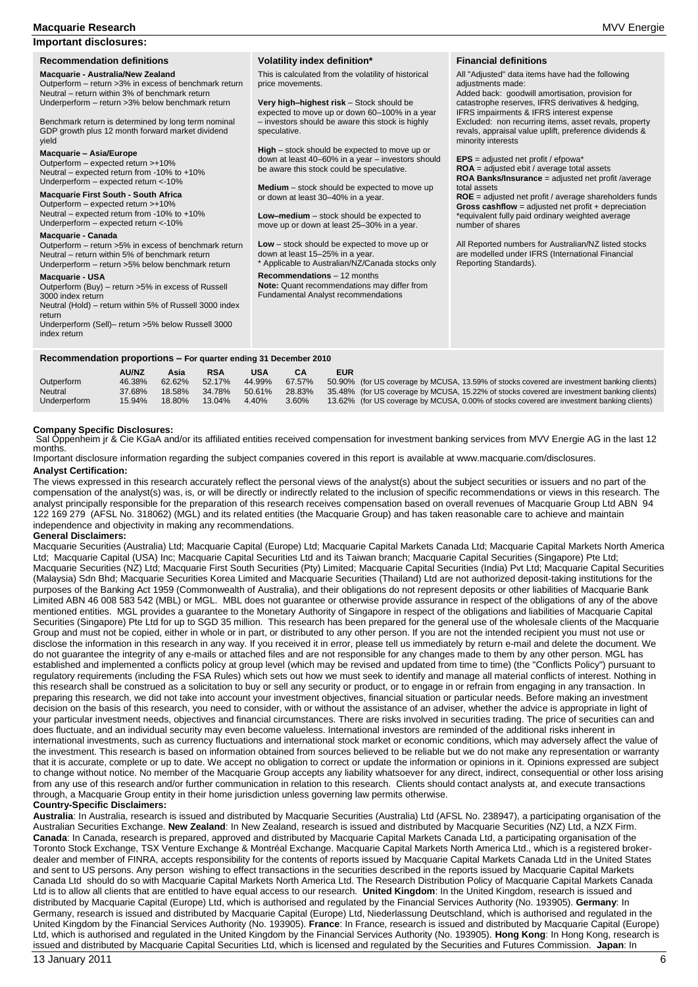### **Macquarie Research Energie Adventure Community Community Community Community Community Community Community Community Community Community Community Community Community Community Community Community Community Community Comm**

### **Important disclosures:**

**Macquarie - Australia/New Zealand** Outperform – return >3% in excess of benchmark return Neutral – return within 3% of benchmark return Underperform – return >3% below benchmark return

Benchmark return is determined by long term nominal GDP growth plus 12 month forward market dividend yield

#### **Macquarie – Asia/Europe**

Outperform – expected return >+10% Neutral – expected return from -10% to +10% Underperform – expected return <-10%

### **Macquarie First South - South Africa**

Outperform – expected return >+10% Neutral – expected return from -10% to +10% Underperform – expected return <-10%

#### **Macquarie - Canada**

Outperform – return >5% in excess of benchmark return Neutral – return within 5% of benchmark return Underperform – return >5% below benchmark return

#### **Macquarie - USA**

Outperform (Buy) – return >5% in excess of Russell 3000 index return Neutral (Hold) – return within 5% of Russell 3000 index return

Underperform (Sell)– return >5% below Russell 3000 index return

### **Volatility index definition\***

This is calculated from the volatility of historical price movements.

**Very high–highest risk** – Stock should be expected to move up or down 60–100% in a year – investors should be aware this stock is highly speculative.

**High** – stock should be expected to move up or down at least 40–60% in a year – investors should be aware this stock could be speculative.

**Medium** – stock should be expected to move up or down at least 30–40% in a year.

**Low–medium** – stock should be expected to move up or down at least 25–30% in a year.

**Low** – stock should be expected to move up or down at least 15–25% in a year.

\* Applicable to Australian/NZ/Canada stocks only

**Recommendations** – 12 months **Note:** Quant recommendations may differ from Fundamental Analyst recommendations

**Financial definitions**

minority interests

number of shares

All "Adjusted" data items have had the following adjustments made: Added back: goodwill amortisation, provision for catastrophe reserves, IFRS derivatives & hedging, IFRS impairments & IFRS interest expense Excluded: non recurring items, asset revals, property revals, appraisal value uplift, preference dividends &

**EPS** = adjusted net profit / efpowa\*

**ROA** = adjusted ebit / average total assets **ROA Banks/Insurance** = adjusted net profit /average total assets **ROE** = adjusted net profit / average shareholders funds **Gross cashflow** = adjusted net profit + depreciation \*equivalent fully paid ordinary weighted average

All Reported numbers for Australian/NZ listed stocks are modelled under IFRS (International Financial Reporting Standards).

#### **Recommendation proportions – For quarter ending 31 December 2010**

|              | AU/NZ  | Asia   | <b>RSA</b> | USA    | СA     | EUR |                                                                                            |
|--------------|--------|--------|------------|--------|--------|-----|--------------------------------------------------------------------------------------------|
| Outperform   | 46.38% | 62.62% | 52.17%     | 44.99% | 67.57% |     | 50.90% (for US coverage by MCUSA, 13.59% of stocks covered are investment banking clients) |
| Neutral      | 37.68% | 18.58% | 34.78%     | 50.61% | 28.83% |     | 35.48% (for US coverage by MCUSA, 15.22% of stocks covered are investment banking clients) |
| Underperform | 15.94% | 18.80% | $13.04\%$  | 4.40%  | 3.60%  |     | 13.62% (for US coverage by MCUSA, 0.00% of stocks covered are investment banking clients)  |
|              |        |        |            |        |        |     |                                                                                            |

**Company Specific Disclosures:** Sal Oppenheim jr & Cie KGaA and/or its affiliated entities received compensation for investment banking services from MVV Energie AG in the last 12 months.

Important disclosure information regarding the subject companies covered in this report is available at www.macquarie.com/disclosures.

#### **Analyst Certification:**

The views expressed in this research accurately reflect the personal views of the analyst(s) about the subject securities or issuers and no part of the compensation of the analyst(s) was, is, or will be directly or indirectly related to the inclusion of specific recommendations or views in this research. The analyst principally responsible for the preparation of this research receives compensation based on overall revenues of Macquarie Group Ltd ABN 94 122 169 279 (AFSL No. 318062) (MGL) and its related entities (the Macquarie Group) and has taken reasonable care to achieve and maintain independence and objectivity in making any recommendations.

#### **General Disclaimers:**

Macquarie Securities (Australia) Ltd; Macquarie Capital (Europe) Ltd; Macquarie Capital Markets Canada Ltd; Macquarie Capital Markets North America Ltd; Macquarie Capital (USA) Inc; Macquarie Capital Securities Ltd and its Taiwan branch; Macquarie Capital Securities (Singapore) Pte Ltd; Macquarie Securities (NZ) Ltd; Macquarie First South Securities (Pty) Limited; Macquarie Capital Securities (India) Pvt Ltd; Macquarie Capital Securities (Malaysia) Sdn Bhd; Macquarie Securities Korea Limited and Macquarie Securities (Thailand) Ltd are not authorized deposit-taking institutions for the purposes of the Banking Act 1959 (Commonwealth of Australia), and their obligations do not represent deposits or other liabilities of Macquarie Bank Limited ABN 46 008 583 542 (MBL) or MGL. MBL does not guarantee or otherwise provide assurance in respect of the obligations of any of the above mentioned entities. MGL provides a guarantee to the Monetary Authority of Singapore in respect of the obligations and liabilities of Macquarie Capital Securities (Singapore) Pte Ltd for up to SGD 35 million. This research has been prepared for the general use of the wholesale clients of the Macquarie Group and must not be copied, either in whole or in part, or distributed to any other person. If you are not the intended recipient you must not use or disclose the information in this research in any way. If you received it in error, please tell us immediately by return e-mail and delete the document. We do not guarantee the integrity of any e-mails or attached files and are not responsible for any changes made to them by any other person. MGL has established and implemented a conflicts policy at group level (which may be revised and updated from time to time) (the "Conflicts Policy") pursuant to regulatory requirements (including the FSA Rules) which sets out how we must seek to identify and manage all material conflicts of interest. Nothing in this research shall be construed as a solicitation to buy or sell any security or product, or to engage in or refrain from engaging in any transaction. In preparing this research, we did not take into account your investment objectives, financial situation or particular needs. Before making an investment decision on the basis of this research, you need to consider, with or without the assistance of an adviser, whether the advice is appropriate in light of your particular investment needs, objectives and financial circumstances. There are risks involved in securities trading. The price of securities can and does fluctuate, and an individual security may even become valueless. International investors are reminded of the additional risks inherent in international investments, such as currency fluctuations and international stock market or economic conditions, which may adversely affect the value of the investment. This research is based on information obtained from sources believed to be reliable but we do not make any representation or warranty that it is accurate, complete or up to date. We accept no obligation to correct or update the information or opinions in it. Opinions expressed are subject to change without notice. No member of the Macquarie Group accepts any liability whatsoever for any direct, indirect, consequential or other loss arising from any use of this research and/or further communication in relation to this research. Clients should contact analysts at, and execute transactions through, a Macquarie Group entity in their home jurisdiction unless governing law permits otherwise. **Country-Specific Disclaimers:** 

**Australia**: In Australia, research is issued and distributed by Macquarie Securities (Australia) Ltd (AFSL No. 238947), a participating organisation of the Australian Securities Exchange. **New Zealand**: In New Zealand, research is issued and distributed by Macquarie Securities (NZ) Ltd, a NZX Firm. **Canada**: In Canada, research is prepared, approved and distributed by Macquarie Capital Markets Canada Ltd, a participating organisation of the Toronto Stock Exchange, TSX Venture Exchange & Montréal Exchange. Macquarie Capital Markets North America Ltd., which is a registered brokerdealer and member of FINRA, accepts responsibility for the contents of reports issued by Macquarie Capital Markets Canada Ltd in the United States and sent to US persons. Any person wishing to effect transactions in the securities described in the reports issued by Macquarie Capital Markets Canada Ltd should do so with Macquarie Capital Markets North America Ltd. The Research Distribution Policy of Macquarie Capital Markets Canada Ltd is to allow all clients that are entitled to have equal access to our research. **United Kingdom**: In the United Kingdom, research is issued and distributed by Macquarie Capital (Europe) Ltd, which is authorised and regulated by the Financial Services Authority (No. 193905). **Germany**: In Germany, research is issued and distributed by Macquarie Capital (Europe) Ltd, Niederlassung Deutschland, which is authorised and regulated in the United Kingdom by the Financial Services Authority (No. 193905). **France**: In France, research is issued and distributed by Macquarie Capital (Europe) Ltd, which is authorised and regulated in the United Kingdom by the Financial Services Authority (No. 193905). **Hong Kong**: In Hong Kong, research is issued and distributed by Macquarie Capital Securities Ltd, which is licensed and regulated by the Securities and Futures Commission. **Japan**: In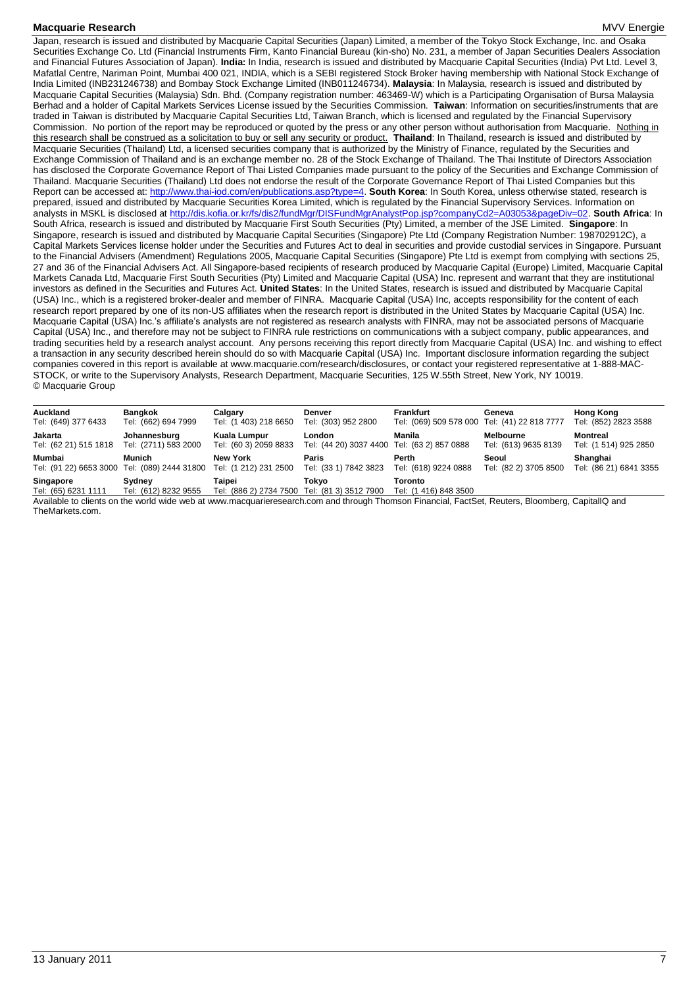**Macquarie Research** MVV Energie Japan, research is issued and distributed by Macquarie Capital Securities (Japan) Limited, a member of the Tokyo Stock Exchange, Inc. and Osaka Securities Exchange Co. Ltd (Financial Instruments Firm, Kanto Financial Bureau (kin-sho) No. 231, a member of Japan Securities Dealers Association and Financial Futures Association of Japan). **India:** In India, research is issued and distributed by Macquarie Capital Securities (India) Pvt Ltd. Level 3, Mafatlal Centre, Nariman Point, Mumbai 400 021, INDIA, which is a SEBI registered Stock Broker having membership with National Stock Exchange of India Limited (INB231246738) and Bombay Stock Exchange Limited (INB011246734). **Malaysia**: In Malaysia, research is issued and distributed by Macquarie Capital Securities (Malaysia) Sdn. Bhd. (Company registration number: 463469-W) which is a Participating Organisation of Bursa Malaysia Berhad and a holder of Capital Markets Services License issued by the Securities Commission. **Taiwan**: Information on securities/instruments that are traded in Taiwan is distributed by Macquarie Capital Securities Ltd, Taiwan Branch, which is licensed and regulated by the Financial Supervisory Commission. No portion of the report may be reproduced or quoted by the press or any other person without authorisation from Macquarie. Nothing in this research shall be construed as a solicitation to buy or sell any security or product. **Thailand**: In Thailand, research is issued and distributed by Macquarie Securities (Thailand) Ltd, a licensed securities company that is authorized by the Ministry of Finance, regulated by the Securities and Exchange Commission of Thailand and is an exchange member no. 28 of the Stock Exchange of Thailand. The Thai Institute of Directors Association has disclosed the Corporate Governance Report of Thai Listed Companies made pursuant to the policy of the Securities and Exchange Commission of Thailand. Macquarie Securities (Thailand) Ltd does not endorse the result of the Corporate Governance Report of Thai Listed Companies but this Report can be accessed at: http://www.thai-iod.com/en/publications.asp?type=4. **South Korea**: In South Korea, unless otherwise stated, research is prepared, issued and distributed by Macquarie Securities Korea Limited, which is regulated by the Financial Supervisory Services. Information on analysts in MSKL is disclosed at http://dis.kofia.or.kr/fs/dis2/fundMgr/DISFundMgrAnalystPop.jsp?companyCd2=A03053&pageDiv=02. **South Africa**: In South Africa, research is issued and distributed by Macquarie First South Securities (Pty) Limited, a member of the JSE Limited. **Singapore**: In Singapore, research is issued and distributed by Macquarie Capital Securities (Singapore) Pte Ltd (Company Registration Number: 198702912C), a Capital Markets Services license holder under the Securities and Futures Act to deal in securities and provide custodial services in Singapore. Pursuant to the Financial Advisers (Amendment) Regulations 2005, Macquarie Capital Securities (Singapore) Pte Ltd is exempt from complying with sections 25, 27 and 36 of the Financial Advisers Act. All Singapore-based recipients of research produced by Macquarie Capital (Europe) Limited, Macquarie Capital Markets Canada Ltd, Macquarie First South Securities (Pty) Limited and Macquarie Capital (USA) Inc. represent and warrant that they are institutional investors as defined in the Securities and Futures Act. **United States**: In the United States, research is issued and distributed by Macquarie Capital (USA) Inc., which is a registered broker-dealer and member of FINRA. Macquarie Capital (USA) Inc, accepts responsibility for the content of each research report prepared by one of its non-US affiliates when the research report is distributed in the United States by Macquarie Capital (USA) Inc. Macquarie Capital (USA) Inc.'s affiliate's analysts are not registered as research analysts with FINRA, may not be associated persons of Macquarie Capital (USA) Inc., and therefore may not be subject to FINRA rule restrictions on communications with a subject company, public appearances, and trading securities held by a research analyst account. Any persons receiving this report directly from Macquarie Capital (USA) Inc. and wishing to effect a transaction in any security described herein should do so with Macquarie Capital (USA) Inc. Important disclosure information regarding the subject companies covered in this report is available at www.macquarie.com/research/disclosures, or contact your registered representative at 1-888-MAC-STOCK, or write to the Supervisory Analysts, Research Department, Macquarie Securities, 125 W.55th Street, New York, NY 10019. © Macquarie Group

| Auckland                         | <b>Bangkok</b>                               | Calgary                                                | Denver                                      | <b>Frankfurt</b>                             | Geneva                         | <b>Hong Kong</b>       |
|----------------------------------|----------------------------------------------|--------------------------------------------------------|---------------------------------------------|----------------------------------------------|--------------------------------|------------------------|
| Tel: (649) 377 6433              | Tel: (662) 694 7999                          | Tel: (1 403) 218 6650                                  | Tel: (303) 952 2800                         | Tel: (069) 509 578 000 Tel: (41) 22 818 7777 |                                | Tel: (852) 2823 3588   |
| Jakarta                          | Johannesburg                                 | Kuala Lumpur                                           | London                                      | Manila                                       | Melbourne                      | Montreal               |
| Tel: (62 21) 515 1818            | Tel: (2711) 583 2000                         | Tel: (60 3) 2059 8833                                  | Tel: (44 20) 3037 4400 Tel: (63 2) 857 0888 |                                              | Tel: (613) 9635 8139           | Tel: (1 514) 925 2850  |
| Mumbai                           | Munich                                       | <b>New York</b>                                        | Paris                                       | Perth                                        | Seoul                          | Shanghai               |
|                                  | Tel: (91 22) 6653 3000 Tel: (089) 2444 31800 | Tel: (1 212) 231 2500                                  | Tel: (33 1) 7842 3823                       | Tel: (618) 9224 0888                         | Tel: (82 2) 3705 8500          | Tel: (86 21) 6841 3355 |
| Singapore<br>Tel: (65) 6231 1111 | Svdnev<br>Tel: (612) 8232 9555               | Taipei<br>Tel: (886 2) 2734 7500 Tel: (81 3) 3512 7900 | Tokvo                                       | Toronto<br>Tel: (1 416) 848 3500             |                                |                        |
| .                                | .                                            |                                                        | $-1$<br>.                                   | $\cdot$ $\cdot$ $\cdot$                      | $\sim$ $\sim$ $\sim$<br>$\sim$ | $\cdots$<br>$\sim$     |

Available to clients on the world wide web at www.macquarieresearch.com and through Thomson Financial, FactSet, Reuters, Bloomberg, CapitalIQ and TheMarkets.com.